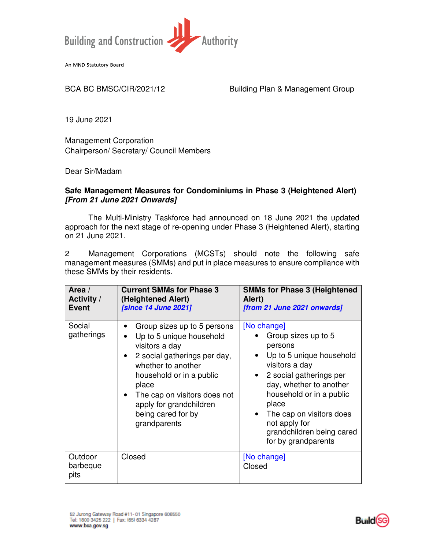

An MND Statutory Board

BCA BC BMSC/CIR/2021/12 Building Plan & Management Group

19 June 2021

Management Corporation Chairperson/ Secretary/ Council Members

Dear Sir/Madam

## **Safe Management Measures for Condominiums in Phase 3 (Heightened Alert) [From 21 June 2021 Onwards]**

The Multi-Ministry Taskforce had announced on 18 June 2021 the updated approach for the next stage of re-opening under Phase 3 (Heightened Alert), starting on 21 June 2021.

2 Management Corporations (MCSTs) should note the following safe management measures (SMMs) and put in place measures to ensure compliance with these SMMs by their residents.

| Area /<br><b>Activity /</b><br><b>Event</b> | <b>Current SMMs for Phase 3</b><br>(Heightened Alert)<br><b>[since 14 June 2021]</b>                                                                                                                                                                                                                         | <b>SMMs for Phase 3 (Heightened</b><br>Alert)<br>[from 21 June 2021 onwards]                                                                                                                                                                                                                         |
|---------------------------------------------|--------------------------------------------------------------------------------------------------------------------------------------------------------------------------------------------------------------------------------------------------------------------------------------------------------------|------------------------------------------------------------------------------------------------------------------------------------------------------------------------------------------------------------------------------------------------------------------------------------------------------|
| Social<br>gatherings                        | Group sizes up to 5 persons<br>Up to 5 unique household<br>$\bullet$<br>visitors a day<br>2 social gatherings per day,<br>$\bullet$<br>whether to another<br>household or in a public<br>place<br>The cap on visitors does not<br>$\bullet$<br>apply for grandchildren<br>being cared for by<br>grandparents | [No change]<br>Group sizes up to 5<br>persons<br>Up to 5 unique household<br>visitors a day<br>2 social gatherings per<br>$\bullet$<br>day, whether to another<br>household or in a public<br>place<br>The cap on visitors does<br>not apply for<br>grandchildren being cared<br>for by grandparents |
| Outdoor<br>barbeque<br>pits                 | Closed                                                                                                                                                                                                                                                                                                       | [No change]<br>Closed                                                                                                                                                                                                                                                                                |